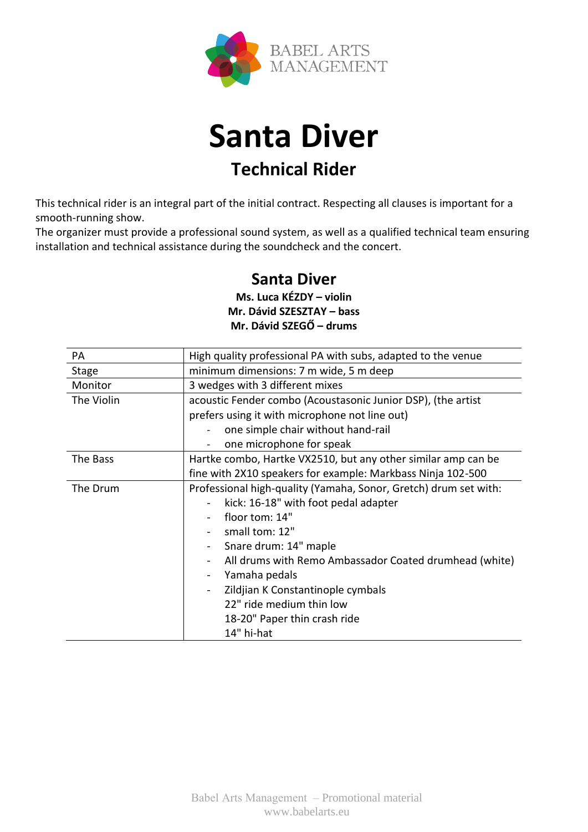



This technical rider is an integral part of the initial contract. Respecting all clauses is important for a smooth-running show.

The organizer must provide a professional sound system, as well as a qualified technical team ensuring installation and technical assistance during the soundcheck and the concert.

## **Santa Diver**

**Ms. Luca KÉZDY – violin Mr. Dávid SZESZTAY – bass Mr. Dávid SZEGŐ – drums**

| PA           | High quality professional PA with subs, adapted to the venue     |
|--------------|------------------------------------------------------------------|
| <b>Stage</b> | minimum dimensions: 7 m wide, 5 m deep                           |
| Monitor      | 3 wedges with 3 different mixes                                  |
| The Violin   | acoustic Fender combo (Acoustasonic Junior DSP), (the artist     |
|              | prefers using it with microphone not line out)                   |
|              | one simple chair without hand-rail                               |
|              | one microphone for speak                                         |
| The Bass     | Hartke combo, Hartke VX2510, but any other similar amp can be    |
|              | fine with 2X10 speakers for example: Markbass Ninja 102-500      |
| The Drum     | Professional high-quality (Yamaha, Sonor, Gretch) drum set with: |
|              | kick: 16-18" with foot pedal adapter                             |
|              | floor tom: 14"                                                   |
|              | small tom: 12"                                                   |
|              | Snare drum: 14" maple                                            |
|              | All drums with Remo Ambassador Coated drumhead (white)           |
|              | Yamaha pedals<br>$\overline{\phantom{a}}$                        |
|              | Zildjian K Constantinople cymbals                                |
|              | 22" ride medium thin low                                         |
|              | 18-20" Paper thin crash ride                                     |
|              | 14" hi-hat                                                       |